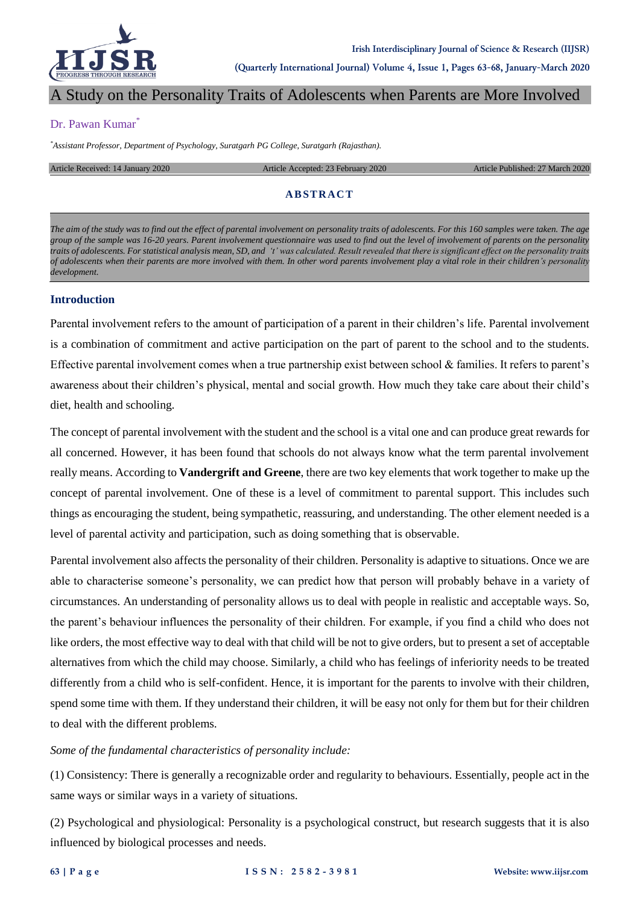

# A Study on the Personality Traits of Adolescents when Parents are More Involved

#### Dr. Pawan Kumar<sup>\*</sup>

*\*Assistant Professor, Department of Psychology, Suratgarh PG College, Suratgarh (Rajasthan).*

Article Received: 14 January 2020 Article Accepted: 23 February 2020 Article Published: 27 March 2020

## **AB STRAC T**

*The aim of the study was to find out the effect of parental involvement on personality traits of adolescents. For this 160 samples were taken. The age group of the sample was 16-20 years. Parent involvement questionnaire was used to find out the level of involvement of parents on the personality traits of adolescents. For statistical analysis mean, SD, and 't' was calculated. Result revealed that there is significant effect on the personality traits of adolescents when their parents are more involved with them. In other word parents involvement play a vital role in their children's personality development.*

#### **Introduction**

Parental involvement refers to the amount of participation of a parent in their children's life. Parental involvement is a combination of commitment and active participation on the part of parent to the school and to the students. Effective parental involvement comes when a true partnership exist between school & families. It refers to parent's awareness about their children's physical, mental and social growth. How much they take care about their child's diet, health and schooling.

The concept of parental involvement with the student and the school is a vital one and can produce great rewards for all concerned. However, it has been found that schools do not always know what the term parental involvement really means. According to **Vandergrift and Greene**, there are two key elements that work together to make up the concept of parental involvement. One of these is a level of commitment to parental support. This includes such things as encouraging the student, being sympathetic, reassuring, and understanding. The other element needed is a level of parental activity and participation, such as doing something that is observable.

Parental involvement also affects the personality of their children. Personality is adaptive to situations. Once we are able to characterise someone's personality, we can predict how that person will probably behave in a variety of circumstances. An understanding of personality allows us to deal with people in realistic and acceptable ways. So, the parent's behaviour influences the personality of their children. For example, if you find a child who does not like orders, the most effective way to deal with that child will be not to give orders, but to present a set of acceptable alternatives from which the child may choose. Similarly, a child who has feelings of inferiority needs to be treated differently from a child who is self-confident. Hence, it is important for the parents to involve with their children, spend some time with them. If they understand their children, it will be easy not only for them but for their children to deal with the different problems.

#### *Some of the fundamental characteristics of personality include:*

(1) Consistency: There is generally a recognizable order and regularity to behaviours. Essentially, people act in the same ways or similar ways in a variety of situations.

(2) Psychological and physiological: Personality is a psychological construct, but research suggests that it is also influenced by biological processes and needs.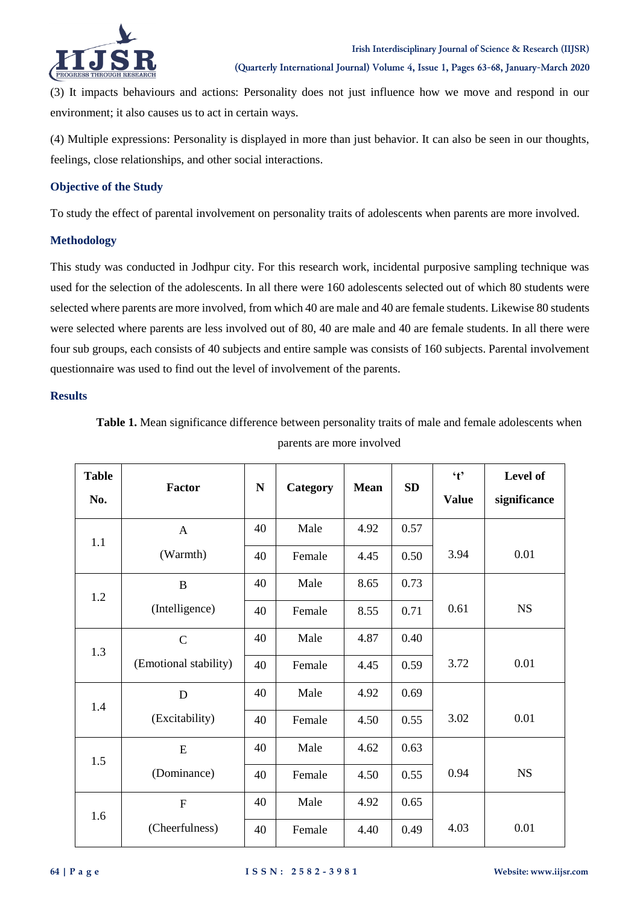

(3) It impacts behaviours and actions: Personality does not just influence how we move and respond in our environment; it also causes us to act in certain ways.

(4) Multiple expressions: Personality is displayed in more than just behavior. It can also be seen in our thoughts, feelings, close relationships, and other social interactions.

## **Objective of the Study**

To study the effect of parental involvement on personality traits of adolescents when parents are more involved.

#### **Methodology**

This study was conducted in Jodhpur city. For this research work, incidental purposive sampling technique was used for the selection of the adolescents. In all there were 160 adolescents selected out of which 80 students were selected where parents are more involved, from which 40 are male and 40 are female students. Likewise 80 students were selected where parents are less involved out of 80, 40 are male and 40 are female students. In all there were four sub groups, each consists of 40 subjects and entire sample was consists of 160 subjects. Parental involvement questionnaire was used to find out the level of involvement of the parents.

### **Results**

| Table 1. Mean significance difference between personality traits of male and female adolescents when |  |
|------------------------------------------------------------------------------------------------------|--|
| parents are more involved                                                                            |  |

| <b>Table</b><br>No. | Factor                | ${\bf N}$ | <b>Category</b> | <b>Mean</b> | <b>SD</b> | $\ddot{\mathbf{t}}$<br><b>Value</b> | Level of<br>significance |
|---------------------|-----------------------|-----------|-----------------|-------------|-----------|-------------------------------------|--------------------------|
| 1.1                 | $\mathbf{A}$          | 40        | Male            | 4.92        | 0.57      |                                     |                          |
|                     | (Warmth)              | 40        | Female          | 4.45        | 0.50      | 3.94                                | 0.01                     |
| 1.2                 | $\bf{B}$              | 40        | Male            | 8.65        | 0.73      |                                     |                          |
|                     | (Intelligence)        | 40        | Female          | 8.55        | 0.71      | 0.61                                | <b>NS</b>                |
| 1.3                 | $\mathcal{C}$         | 40        | Male            | 4.87        | 0.40      |                                     |                          |
|                     | (Emotional stability) | 40        | Female          | 4.45        | 0.59      | 3.72                                | 0.01                     |
| 1.4                 | D                     | 40        | Male            | 4.92        | 0.69      |                                     |                          |
|                     | (Excitability)        | 40        | Female          | 4.50        | 0.55      | 3.02                                | 0.01                     |
| 1.5                 | E                     | 40        | Male            | 4.62        | 0.63      |                                     |                          |
|                     | (Dominance)           | 40        | Female          | 4.50        | 0.55      | 0.94                                | <b>NS</b>                |
| 1.6                 | $\mathbf{F}$          | 40        | Male            | 4.92        | 0.65      |                                     |                          |
|                     | (Cheerfulness)        | 40        | Female          | 4.40        | 0.49      | 4.03                                | 0.01                     |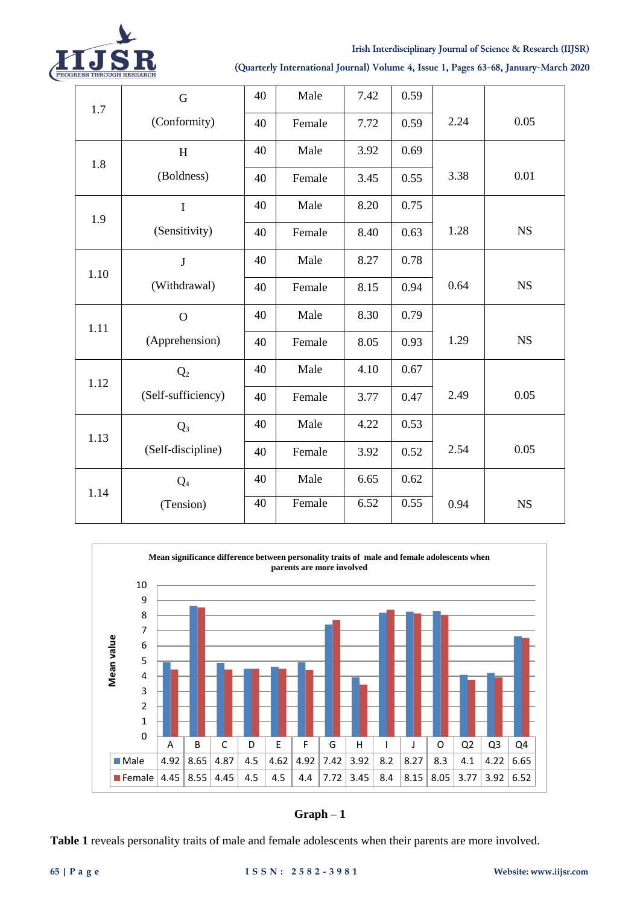

#### **Irish Interdisciplinary Journal of Science & Research (IIJSR)**

## **(Quarterly International Journal) Volume 4, Issue 1, Pages 63-68, January-March 2020**

|            | G                  | 40 | Male   | 7.42 | 0.59 |      |           |
|------------|--------------------|----|--------|------|------|------|-----------|
| 1.7<br>1.8 | (Conformity)       | 40 | Female | 7.72 | 0.59 | 2.24 | 0.05      |
|            | H                  | 40 | Male   | 3.92 | 0.69 |      |           |
| 1.9        | (Boldness)         | 40 | Female | 3.45 | 0.55 | 3.38 | 0.01      |
|            | $\bf I$            | 40 | Male   | 8.20 | 0.75 |      |           |
| 1.10       | (Sensitivity)      | 40 | Female | 8.40 | 0.63 | 1.28 | <b>NS</b> |
|            | $\bf J$            | 40 | Male   | 8.27 | 0.78 |      |           |
|            | (Withdrawal)       | 40 | Female | 8.15 | 0.94 | 0.64 | <b>NS</b> |
| 1.11       | $\mathbf O$        | 40 | Male   | 8.30 | 0.79 |      |           |
|            | (Apprehension)     | 40 | Female | 8.05 | 0.93 | 1.29 | <b>NS</b> |
| 1.12       | Q <sub>2</sub>     | 40 | Male   | 4.10 | 0.67 |      |           |
|            | (Self-sufficiency) | 40 | Female | 3.77 | 0.47 | 2.49 | 0.05      |
| 1.13       | $Q_3$              | 40 | Male   | 4.22 | 0.53 |      |           |
|            | (Self-discipline)  | 40 | Female | 3.92 | 0.52 | 2.54 | 0.05      |
| 1.14       | $Q_4$              | 40 | Male   | 6.65 | 0.62 |      |           |
|            | (Tension)          | 40 | Female | 6.52 | 0.55 | 0.94 | NS        |



**Graph – 1**

**Table 1** reveals personality traits of male and female adolescents when their parents are more involved.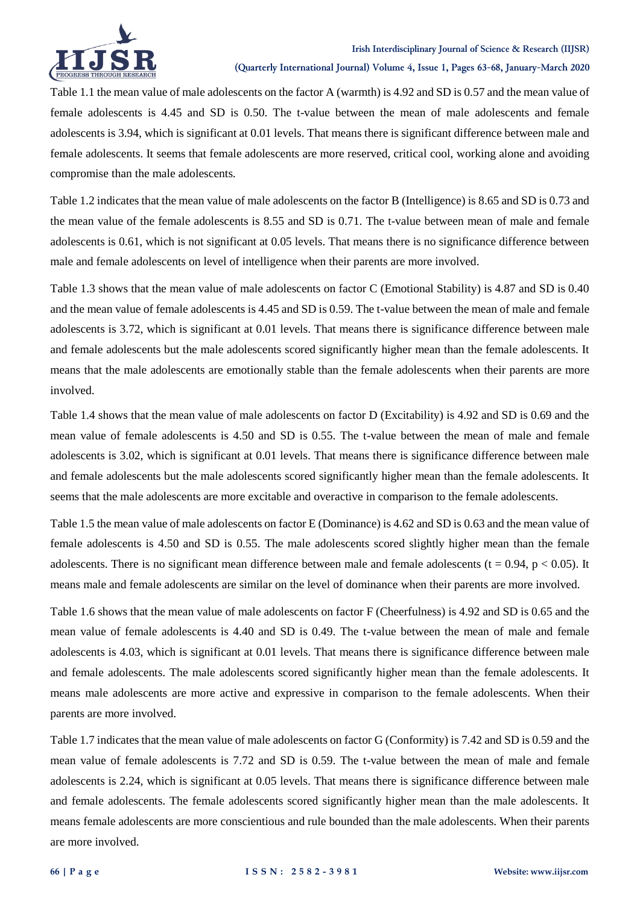

Table 1.1 the mean value of male adolescents on the factor A (warmth) is 4.92 and SD is 0.57 and the mean value of female adolescents is 4.45 and SD is 0.50. The t-value between the mean of male adolescents and female adolescents is 3.94, which is significant at 0.01 levels. That means there is significant difference between male and female adolescents. It seems that female adolescents are more reserved, critical cool, working alone and avoiding compromise than the male adolescents.

Table 1.2 indicates that the mean value of male adolescents on the factor B (Intelligence) is 8.65 and SD is 0.73 and the mean value of the female adolescents is 8.55 and SD is 0.71. The t-value between mean of male and female adolescents is 0.61, which is not significant at 0.05 levels. That means there is no significance difference between male and female adolescents on level of intelligence when their parents are more involved.

Table 1.3 shows that the mean value of male adolescents on factor C (Emotional Stability) is 4.87 and SD is 0.40 and the mean value of female adolescents is 4.45 and SD is 0.59. The t-value between the mean of male and female adolescents is 3.72, which is significant at 0.01 levels. That means there is significance difference between male and female adolescents but the male adolescents scored significantly higher mean than the female adolescents. It means that the male adolescents are emotionally stable than the female adolescents when their parents are more involved.

Table 1.4 shows that the mean value of male adolescents on factor D (Excitability) is 4.92 and SD is 0.69 and the mean value of female adolescents is 4.50 and SD is 0.55. The t-value between the mean of male and female adolescents is 3.02, which is significant at 0.01 levels. That means there is significance difference between male and female adolescents but the male adolescents scored significantly higher mean than the female adolescents. It seems that the male adolescents are more excitable and overactive in comparison to the female adolescents.

Table 1.5 the mean value of male adolescents on factor E (Dominance) is 4.62 and SD is 0.63 and the mean value of female adolescents is 4.50 and SD is 0.55. The male adolescents scored slightly higher mean than the female adolescents. There is no significant mean difference between male and female adolescents ( $t = 0.94$ ,  $p < 0.05$ ). It means male and female adolescents are similar on the level of dominance when their parents are more involved.

Table 1.6 shows that the mean value of male adolescents on factor F (Cheerfulness) is 4.92 and SD is 0.65 and the mean value of female adolescents is 4.40 and SD is 0.49. The t-value between the mean of male and female adolescents is 4.03, which is significant at 0.01 levels. That means there is significance difference between male and female adolescents. The male adolescents scored significantly higher mean than the female adolescents. It means male adolescents are more active and expressive in comparison to the female adolescents. When their parents are more involved.

Table 1.7 indicates that the mean value of male adolescents on factor G (Conformity) is 7.42 and SD is 0.59 and the mean value of female adolescents is 7.72 and SD is 0.59. The t-value between the mean of male and female adolescents is 2.24, which is significant at 0.05 levels. That means there is significance difference between male and female adolescents. The female adolescents scored significantly higher mean than the male adolescents. It means female adolescents are more conscientious and rule bounded than the male adolescents. When their parents are more involved.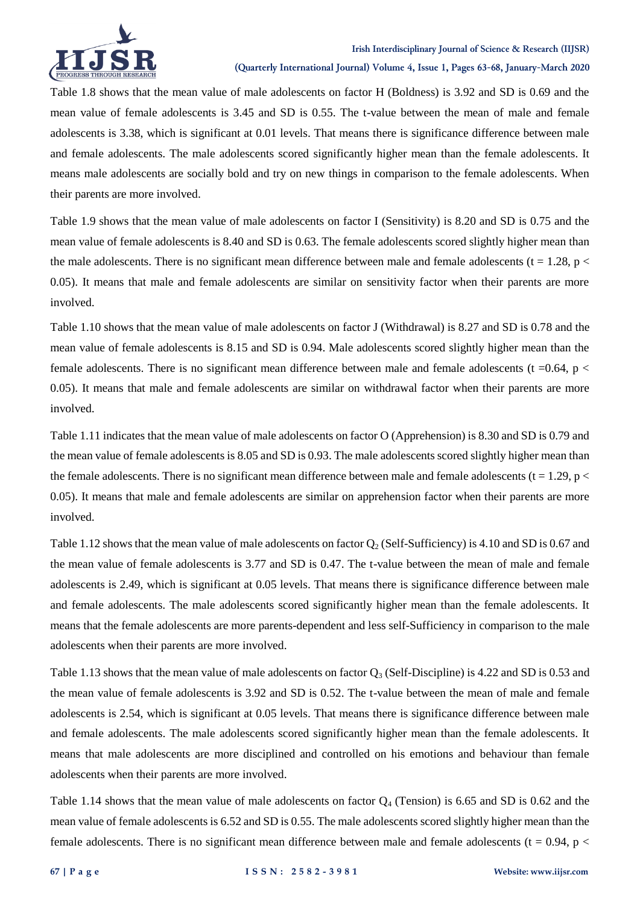

Table 1.8 shows that the mean value of male adolescents on factor H (Boldness) is 3.92 and SD is 0.69 and the mean value of female adolescents is 3.45 and SD is 0.55. The t-value between the mean of male and female adolescents is 3.38, which is significant at 0.01 levels. That means there is significance difference between male and female adolescents. The male adolescents scored significantly higher mean than the female adolescents. It means male adolescents are socially bold and try on new things in comparison to the female adolescents. When their parents are more involved.

Table 1.9 shows that the mean value of male adolescents on factor I (Sensitivity) is 8.20 and SD is 0.75 and the mean value of female adolescents is 8.40 and SD is 0.63. The female adolescents scored slightly higher mean than the male adolescents. There is no significant mean difference between male and female adolescents ( $t = 1.28$ ,  $p <$ 0.05). It means that male and female adolescents are similar on sensitivity factor when their parents are more involved.

Table 1.10 shows that the mean value of male adolescents on factor J (Withdrawal) is 8.27 and SD is 0.78 and the mean value of female adolescents is 8.15 and SD is 0.94. Male adolescents scored slightly higher mean than the female adolescents. There is no significant mean difference between male and female adolescents ( $t = 0.64$ ,  $p <$ 0.05). It means that male and female adolescents are similar on withdrawal factor when their parents are more involved.

Table 1.11 indicates that the mean value of male adolescents on factor O (Apprehension) is 8.30 and SD is 0.79 and the mean value of female adolescents is 8.05 and SD is 0.93. The male adolescents scored slightly higher mean than the female adolescents. There is no significant mean difference between male and female adolescents ( $t = 1.29$ ,  $p <$ 0.05). It means that male and female adolescents are similar on apprehension factor when their parents are more involved.

Table 1.12 shows that the mean value of male adolescents on factor  $Q_2$  (Self-Sufficiency) is 4.10 and SD is 0.67 and the mean value of female adolescents is 3.77 and SD is 0.47. The t-value between the mean of male and female adolescents is 2.49, which is significant at 0.05 levels. That means there is significance difference between male and female adolescents. The male adolescents scored significantly higher mean than the female adolescents. It means that the female adolescents are more parents-dependent and less self-Sufficiency in comparison to the male adolescents when their parents are more involved.

Table 1.13 shows that the mean value of male adolescents on factor  $Q_3$  (Self-Discipline) is 4.22 and SD is 0.53 and the mean value of female adolescents is 3.92 and SD is 0.52. The t-value between the mean of male and female adolescents is 2.54, which is significant at 0.05 levels. That means there is significance difference between male and female adolescents. The male adolescents scored significantly higher mean than the female adolescents. It means that male adolescents are more disciplined and controlled on his emotions and behaviour than female adolescents when their parents are more involved.

Table 1.14 shows that the mean value of male adolescents on factor  $Q_4$  (Tension) is 6.65 and SD is 0.62 and the mean value of female adolescents is 6.52 and SD is 0.55. The male adolescents scored slightly higher mean than the female adolescents. There is no significant mean difference between male and female adolescents ( $t = 0.94$ ,  $p <$